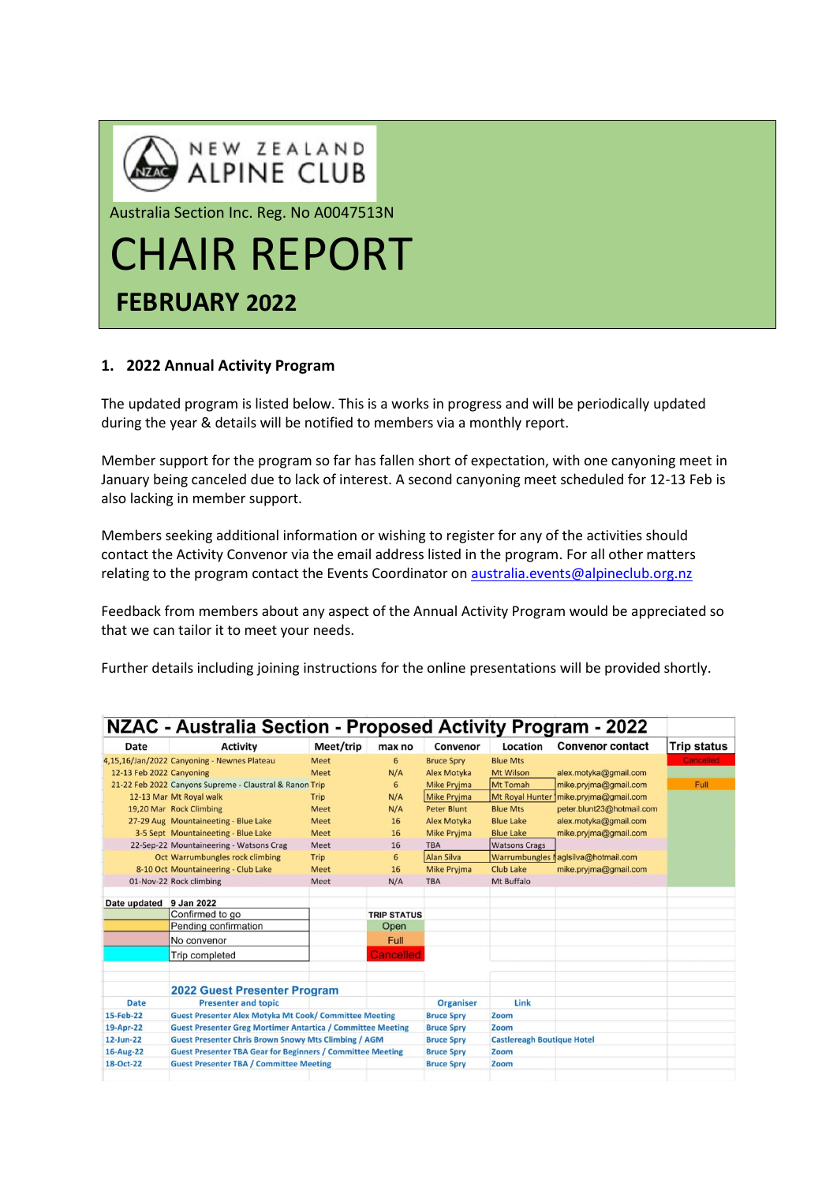

# **1. 2022 Annual Activity Program**

The updated program is listed below. This is a works in progress and will be periodically updated during the year & details will be notified to members via a monthly report.

Member support for the program so far has fallen short of expectation, with one canyoning meet in January being canceled due to lack of interest. A second canyoning meet scheduled for 12-13 Feb is also lacking in member support.

Members seeking additional information or wishing to register for any of the activities should contact the Activity Convenor via the email address listed in the program. For all other matters relating to the program contact the Events Coordinator on [australia.events@alpineclub.org.nz](mailto:australia.events@alpineclub.org.nz)

Feedback from members about any aspect of the Annual Activity Program would be appreciated so that we can tailor it to meet your needs.

Further details including joining instructions for the online presentations will be provided shortly.

| NZAC - Australia Section - Proposed Activity Program - 2022 |                                                                    |             |                    |                    |                                   |                                     |                    |
|-------------------------------------------------------------|--------------------------------------------------------------------|-------------|--------------------|--------------------|-----------------------------------|-------------------------------------|--------------------|
| Date                                                        | <b>Activity</b>                                                    | Meet/trip   | max no             | Convenor           | Location                          | <b>Convenor contact</b>             | <b>Trip status</b> |
|                                                             | 4,15,16/Jan/2022 Canyoning - Newnes Plateau                        | <b>Meet</b> | 6                  | <b>Bruce Spry</b>  | <b>Blue Mts</b>                   |                                     | Cancelled          |
| 12-13 Feb 2022 Canyoning                                    |                                                                    | Meet        | N/A                | <b>Alex Motyka</b> | Mt Wilson                         | alex.motyka@gmail.com               |                    |
|                                                             | 21-22 Feb 2022 Canyons Supreme - Claustral & Ranon Trip            |             | 6                  | <b>Mike Prvima</b> | Mt Tomah                          | mike.pryjma@gmail.com               | Full               |
|                                                             | 12-13 Mar Mt Royal walk                                            | Trip        | N/A                | <b>Mike Pryjma</b> | <b>Mt Royal Hunter</b>            | mike.pryjma@gmail.com               |                    |
|                                                             | 19,20 Mar Rock Climbing                                            | Meet        | N/A                | Peter Blunt        | <b>Blue Mts</b>                   | peter.blunt23@hotmail.com           |                    |
|                                                             | 27-29 Aug Mountaineeting - Blue Lake                               | Meet        | 16                 | Alex Motyka        | <b>Blue Lake</b>                  | alex.motyka@gmail.com               |                    |
|                                                             | 3-5 Sept Mountaineeting - Blue Lake                                | Meet        | 16                 | <b>Mike Pryjma</b> | <b>Blue Lake</b>                  | mike.pryjma@gmail.com               |                    |
|                                                             | 22-Sep-22 Mountaineering - Watsons Crag                            | Meet        | 16                 | <b>TBA</b>         | <b>Watsons Crags</b>              |                                     |                    |
|                                                             | Oct Warrumbungles rock climbing                                    | Trip        | 6                  | <b>Alan Silva</b>  |                                   | Warrumbungles lagisilva@hotmail.com |                    |
|                                                             | 8-10 Oct Mountaineering - Club Lake                                | <b>Meet</b> | 16                 | <b>Mike Prvima</b> | Club Lake                         | mike.pryjma@gmail.com               |                    |
|                                                             | 01-Nov-22 Rock climbing                                            | Meet        | N/A                | <b>TBA</b>         | Mt Buffalo                        |                                     |                    |
| Date updated 9 Jan 2022                                     |                                                                    |             |                    |                    |                                   |                                     |                    |
|                                                             | Confirmed to go                                                    |             | <b>TRIP STATUS</b> |                    |                                   |                                     |                    |
|                                                             | Pending confirmation                                               |             | Open               |                    |                                   |                                     |                    |
|                                                             | No convenor                                                        |             | Full               |                    |                                   |                                     |                    |
|                                                             | <b>Trip completed</b>                                              |             | <b>Cancelled</b>   |                    |                                   |                                     |                    |
|                                                             | <b>2022 Guest Presenter Program</b>                                |             |                    |                    |                                   |                                     |                    |
| <b>Date</b>                                                 | <b>Presenter and topic</b>                                         |             |                    | <b>Organiser</b>   | Link                              |                                     |                    |
| 15-Feb-22                                                   | <b>Guest Presenter Alex Motyka Mt Cook/ Committee Meeting</b>      |             |                    | <b>Bruce Spry</b>  | Zoom                              |                                     |                    |
| 19-Apr-22                                                   | <b>Guest Presenter Greg Mortimer Antartica / Committee Meeting</b> |             |                    | <b>Bruce Spry</b>  | Zoom                              |                                     |                    |
| 12-Jun-22                                                   | <b>Guest Presenter Chris Brown Snowy Mts Climbing / AGM</b>        |             |                    | <b>Bruce Spry</b>  | <b>Castlereagh Boutique Hotel</b> |                                     |                    |
| 16-Aug-22                                                   | <b>Guest Presenter TBA Gear for Beginners / Committee Meeting</b>  |             |                    | <b>Bruce Spry</b>  | Zoom                              |                                     |                    |
| 18-Oct-22<br><b>Guest Presenter TBA / Committee Meeting</b> |                                                                    |             |                    | <b>Bruce Spry</b>  | Zoom                              |                                     |                    |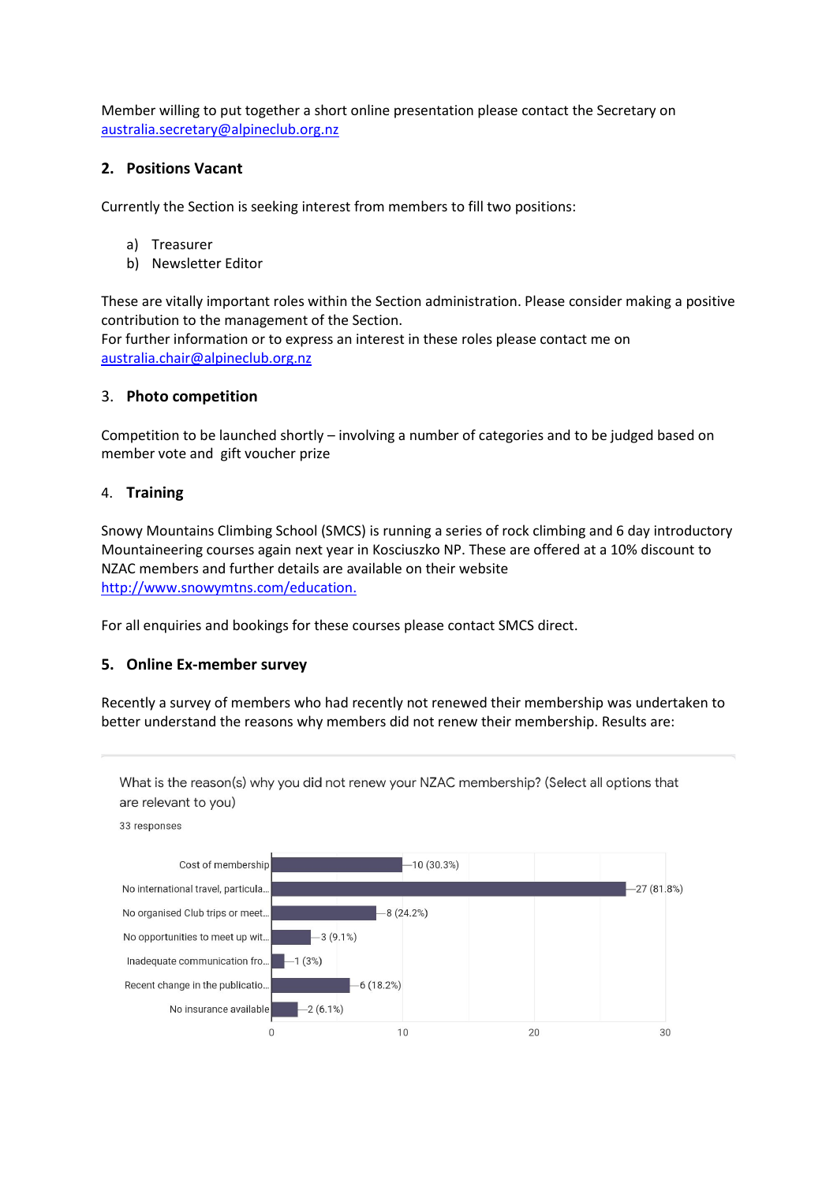Member willing to put together a short online presentation please contact the Secretary on [australia.secretary@alpineclub.org.nz](mailto:australia.secretary@alpineclub.org.nz)

### **2. Positions Vacant**

Currently the Section is seeking interest from members to fill two positions:

- a) Treasurer
- b) Newsletter Editor

These are vitally important roles within the Section administration. Please consider making a positive contribution to the management of the Section.

For further information or to express an interest in these roles please contact me on [australia.chair@alpineclub.org.nz](mailto:australia.chair@alpineclub.org.nz)

### 3. **Photo competition**

Competition to be launched shortly – involving a number of categories and to be judged based on member vote and gift voucher prize

### 4. **Training**

Snowy Mountains Climbing School (SMCS) is running a series of rock climbing and 6 day introductory Mountaineering courses again next year in Kosciuszko NP. These are offered at a 10% discount to NZAC members and further details are available on their website [http://www.snowymtns.com/education.](http://www.snowymtns.com/education)

For all enquiries and bookings for these courses please contact SMCS direct.

#### **5. Online Ex-member survey**

Recently a survey of members who had recently not renewed their membership was undertaken to better understand the reasons why members did not renew their membership. Results are: